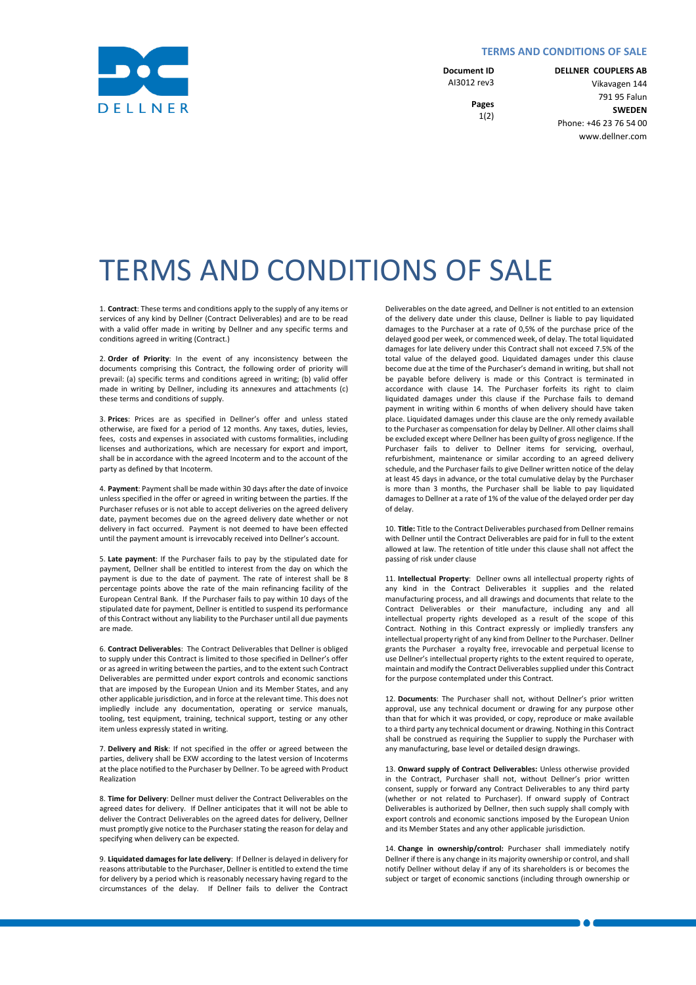## **TERMS AND CONDITIONS OF SALE**

**Document ID** AI3012 rev3

> **Pages** 1(2)

**DELLNER COUPLERS AB** Vikavagen 144 791 95 Falun **SWEDEN** Phone: +46 23 76 54 00 www.dellner.com

TERMS AND CONDITIONS OF SALE

1. **Contract**: These terms and conditions apply to the supply of any items or services of any kind by Dellner (Contract Deliverables) and are to be read with a valid offer made in writing by Dellner and any specific terms and conditions agreed in writing (Contract.)

2. **Order of Priority**: In the event of any inconsistency between the documents comprising this Contract, the following order of priority will prevail: (a) specific terms and conditions agreed in writing; (b) valid offer made in writing by Dellner, including its annexures and attachments (c) these terms and conditions of supply.

3. **Prices**: Prices are as specified in Dellner's offer and unless stated otherwise, are fixed for a period of 12 months. Any taxes, duties, levies, fees, costs and expenses in associated with customs formalities, including licenses and authorizations, which are necessary for export and import, shall be in accordance with the agreed Incoterm and to the account of the party as defined by that Incoterm.

4. **Payment**: Payment shall be made within 30 days after the date of invoice unless specified in the offer or agreed in writing between the parties. If the Purchaser refuses or is not able to accept deliveries on the agreed delivery date, payment becomes due on the agreed delivery date whether or not delivery in fact occurred. Payment is not deemed to have been effected until the payment amount is irrevocably received into Dellner's account.

5. **Late payment**: If the Purchaser fails to pay by the stipulated date for payment, Dellner shall be entitled to interest from the day on which the payment is due to the date of payment. The rate of interest shall be 8 percentage points above the rate of the main refinancing facility of the European Central Bank. If the Purchaser fails to pay within 10 days of the stipulated date for payment, Dellner is entitled to suspend its performance of this Contract without any liability to the Purchaser until all due payments are made.

6. **Contract Deliverables**: The Contract Deliverables that Dellner is obliged to supply under this Contract is limited to those specified in Dellner's offer or as agreed in writing between the parties, and to the extent such Contract Deliverables are permitted under export controls and economic sanctions that are imposed by the European Union and its Member States, and any other applicable jurisdiction, and in force at the relevant time. This does not impliedly include any documentation, operating or service manuals, tooling, test equipment, training, technical support, testing or any other item unless expressly stated in writing.

7. **Delivery and Risk**: If not specified in the offer or agreed between the parties, delivery shall be EXW according to the latest version of Incoterms at the place notified to the Purchaser by Dellner. To be agreed with Product Realization

8. **Time for Delivery**: Dellner must deliver the Contract Deliverables on the agreed dates for delivery. If Dellner anticipates that it will not be able to deliver the Contract Deliverables on the agreed dates for delivery, Dellner must promptly give notice to the Purchaser stating the reason for delay and specifying when delivery can be expected.

9. **Liquidated damages for late delivery**: If Dellner is delayed in delivery for reasons attributable to the Purchaser, Dellner is entitled to extend the time for delivery by a period which is reasonably necessary having regard to the circumstances of the delay. If Dellner fails to deliver the Contract Deliverables on the date agreed, and Dellner is not entitled to an extension of the delivery date under this clause, Dellner is liable to pay liquidated damages to the Purchaser at a rate of 0,5% of the purchase price of the delayed good per week, or commenced week, of delay. The total liquidated damages for late delivery under this Contract shall not exceed 7.5% of the total value of the delayed good. Liquidated damages under this clause become due at the time of the Purchaser's demand in writing, but shall not be payable before delivery is made or this Contract is terminated in accordance with clause 14. The Purchaser forfeits its right to claim liquidated damages under this clause if the Purchase fails to demand payment in writing within 6 months of when delivery should have taken place. Liquidated damages under this clause are the only remedy available to the Purchaser as compensation for delay by Dellner. All other claims shall be excluded except where Dellner has been guilty of gross negligence. If the Purchaser fails to deliver to Dellner items for servicing, overhaul, refurbishment, maintenance or similar according to an agreed delivery schedule, and the Purchaser fails to give Dellner written notice of the delay at least 45 days in advance, or the total cumulative delay by the Purchaser is more than 3 months, the Purchaser shall be liable to pay liquidated damages to Dellner at a rate of 1% of the value of the delayed order per day of delay.

10. **Title:** Title to the Contract Deliverables purchased from Dellner remains with Dellner until the Contract Deliverables are paid for in full to the extent allowed at law. The retention of title under this clause shall not affect the passing of risk under clause

11. **Intellectual Property**: Dellner owns all intellectual property rights of any kind in the Contract Deliverables it supplies and the related manufacturing process, and all drawings and documents that relate to the Contract Deliverables or their manufacture, including any and all intellectual property rights developed as a result of the scope of this Contract. Nothing in this Contract expressly or impliedly transfers any intellectual property right of any kind from Dellner to the Purchaser. Dellner grants the Purchaser a royalty free, irrevocable and perpetual license to use Dellner's intellectual property rights to the extent required to operate, maintain and modify the Contract Deliverables supplied under this Contract for the purpose contemplated under this Contract.

12. **Documents**: The Purchaser shall not, without Dellner's prior written approval, use any technical document or drawing for any purpose other than that for which it was provided, or copy, reproduce or make available to a third party any technical document or drawing. Nothing in this Contract shall be construed as requiring the Supplier to supply the Purchaser with any manufacturing, base level or detailed design drawings.

13. **Onward supply of Contract Deliverables:** Unless otherwise provided in the Contract, Purchaser shall not, without Dellner's prior written consent, supply or forward any Contract Deliverables to any third party (whether or not related to Purchaser). If onward supply of Contract Deliverables is authorized by Dellner, then such supply shall comply with export controls and economic sanctions imposed by the European Union and its Member States and any other applicable jurisdiction.

14. **Change in ownership/control:** Purchaser shall immediately notify Dellner if there is any change in its majority ownership or control, and shall notify Dellner without delay if any of its shareholders is or becomes the subject or target of economic sanctions (including through ownership or